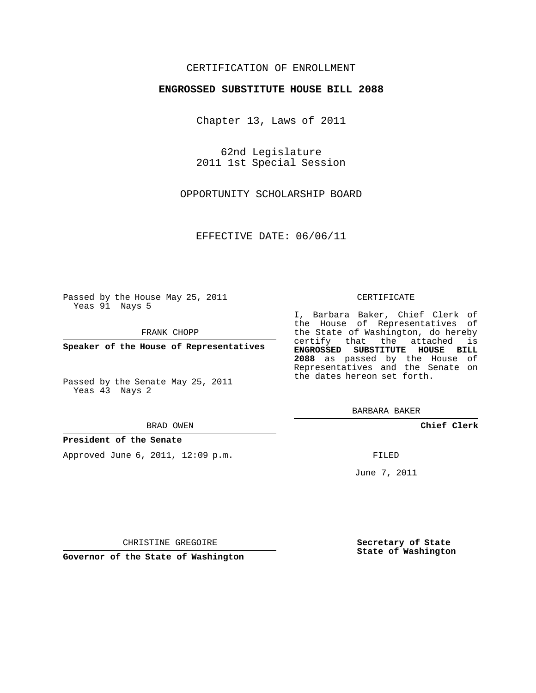# CERTIFICATION OF ENROLLMENT

## **ENGROSSED SUBSTITUTE HOUSE BILL 2088**

Chapter 13, Laws of 2011

62nd Legislature 2011 1st Special Session

OPPORTUNITY SCHOLARSHIP BOARD

EFFECTIVE DATE: 06/06/11

Passed by the House May 25, 2011 Yeas 91 Nays 5

FRANK CHOPP

**Speaker of the House of Representatives**

Passed by the Senate May 25, 2011 Yeas 43 Nays 2

#### BRAD OWEN

### **President of the Senate**

Approved June 6, 2011, 12:09 p.m.

#### CERTIFICATE

I, Barbara Baker, Chief Clerk of the House of Representatives of the State of Washington, do hereby certify that the attached is **ENGROSSED SUBSTITUTE HOUSE BILL 2088** as passed by the House of Representatives and the Senate on the dates hereon set forth.

BARBARA BAKER

**Chief Clerk**

FILED

June 7, 2011

**Governor of the State of Washington**

CHRISTINE GREGOIRE

**Secretary of State State of Washington**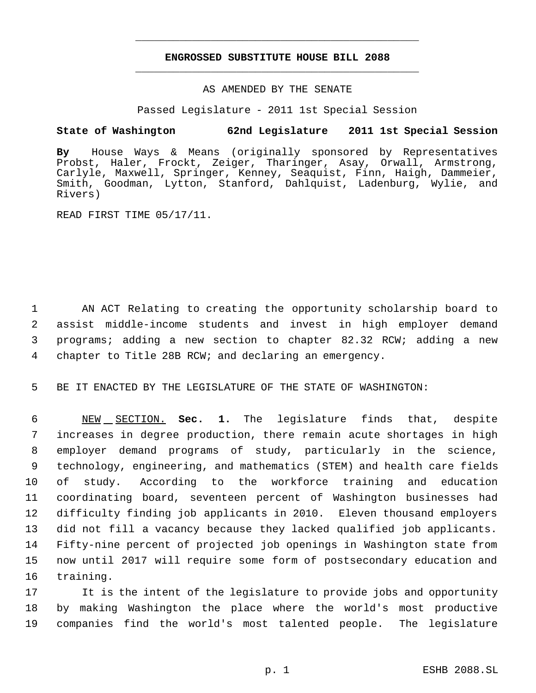# **ENGROSSED SUBSTITUTE HOUSE BILL 2088** \_\_\_\_\_\_\_\_\_\_\_\_\_\_\_\_\_\_\_\_\_\_\_\_\_\_\_\_\_\_\_\_\_\_\_\_\_\_\_\_\_\_\_\_\_

\_\_\_\_\_\_\_\_\_\_\_\_\_\_\_\_\_\_\_\_\_\_\_\_\_\_\_\_\_\_\_\_\_\_\_\_\_\_\_\_\_\_\_\_\_

## AS AMENDED BY THE SENATE

Passed Legislature - 2011 1st Special Session

# **State of Washington 62nd Legislature 2011 1st Special Session**

**By** House Ways & Means (originally sponsored by Representatives Probst, Haler, Frockt, Zeiger, Tharinger, Asay, Orwall, Armstrong, Carlyle, Maxwell, Springer, Kenney, Seaquist, Finn, Haigh, Dammeier, Smith, Goodman, Lytton, Stanford, Dahlquist, Ladenburg, Wylie, and Rivers)

READ FIRST TIME 05/17/11.

 AN ACT Relating to creating the opportunity scholarship board to assist middle-income students and invest in high employer demand programs; adding a new section to chapter 82.32 RCW; adding a new chapter to Title 28B RCW; and declaring an emergency.

5 BE IT ENACTED BY THE LEGISLATURE OF THE STATE OF WASHINGTON:

 NEW SECTION. **Sec. 1.** The legislature finds that, despite increases in degree production, there remain acute shortages in high employer demand programs of study, particularly in the science, technology, engineering, and mathematics (STEM) and health care fields of study. According to the workforce training and education coordinating board, seventeen percent of Washington businesses had difficulty finding job applicants in 2010. Eleven thousand employers did not fill a vacancy because they lacked qualified job applicants. Fifty-nine percent of projected job openings in Washington state from now until 2017 will require some form of postsecondary education and training.

17 It is the intent of the legislature to provide jobs and opportunity 18 by making Washington the place where the world's most productive 19 companies find the world's most talented people. The legislature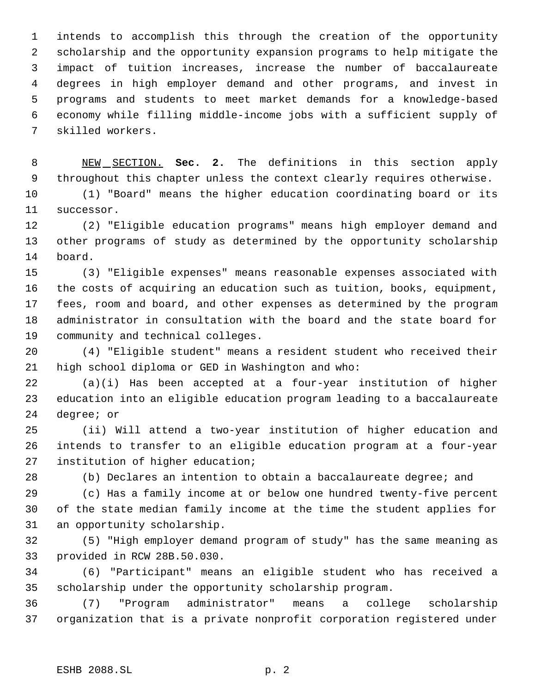intends to accomplish this through the creation of the opportunity scholarship and the opportunity expansion programs to help mitigate the impact of tuition increases, increase the number of baccalaureate degrees in high employer demand and other programs, and invest in programs and students to meet market demands for a knowledge-based economy while filling middle-income jobs with a sufficient supply of skilled workers.

 NEW SECTION. **Sec. 2.** The definitions in this section apply throughout this chapter unless the context clearly requires otherwise.

 (1) "Board" means the higher education coordinating board or its successor.

 (2) "Eligible education programs" means high employer demand and other programs of study as determined by the opportunity scholarship board.

 (3) "Eligible expenses" means reasonable expenses associated with the costs of acquiring an education such as tuition, books, equipment, fees, room and board, and other expenses as determined by the program administrator in consultation with the board and the state board for community and technical colleges.

 (4) "Eligible student" means a resident student who received their high school diploma or GED in Washington and who:

 (a)(i) Has been accepted at a four-year institution of higher education into an eligible education program leading to a baccalaureate degree; or

 (ii) Will attend a two-year institution of higher education and intends to transfer to an eligible education program at a four-year institution of higher education;

(b) Declares an intention to obtain a baccalaureate degree; and

 (c) Has a family income at or below one hundred twenty-five percent of the state median family income at the time the student applies for an opportunity scholarship.

 (5) "High employer demand program of study" has the same meaning as provided in RCW 28B.50.030.

 (6) "Participant" means an eligible student who has received a scholarship under the opportunity scholarship program.

 (7) "Program administrator" means a college scholarship organization that is a private nonprofit corporation registered under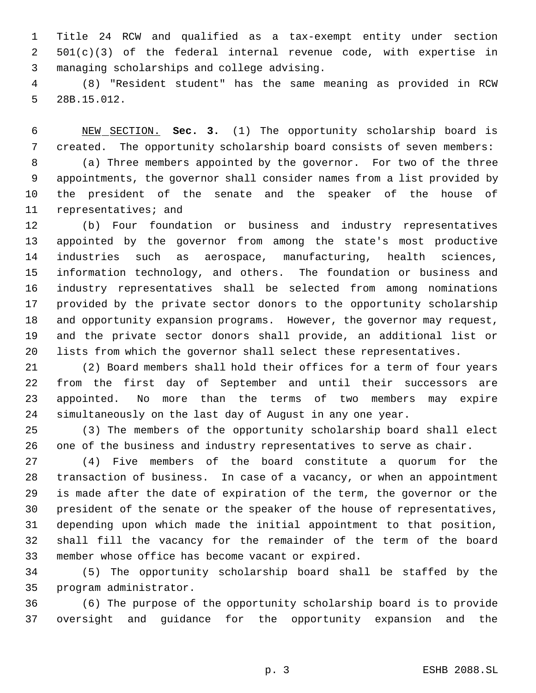Title 24 RCW and qualified as a tax-exempt entity under section 501(c)(3) of the federal internal revenue code, with expertise in managing scholarships and college advising.

 (8) "Resident student" has the same meaning as provided in RCW 28B.15.012.

 NEW SECTION. **Sec. 3.** (1) The opportunity scholarship board is created. The opportunity scholarship board consists of seven members: (a) Three members appointed by the governor. For two of the three appointments, the governor shall consider names from a list provided by the president of the senate and the speaker of the house of representatives; and

 (b) Four foundation or business and industry representatives appointed by the governor from among the state's most productive industries such as aerospace, manufacturing, health sciences, information technology, and others. The foundation or business and industry representatives shall be selected from among nominations provided by the private sector donors to the opportunity scholarship and opportunity expansion programs. However, the governor may request, and the private sector donors shall provide, an additional list or lists from which the governor shall select these representatives.

 (2) Board members shall hold their offices for a term of four years from the first day of September and until their successors are appointed. No more than the terms of two members may expire simultaneously on the last day of August in any one year.

 (3) The members of the opportunity scholarship board shall elect one of the business and industry representatives to serve as chair.

 (4) Five members of the board constitute a quorum for the transaction of business. In case of a vacancy, or when an appointment is made after the date of expiration of the term, the governor or the president of the senate or the speaker of the house of representatives, depending upon which made the initial appointment to that position, shall fill the vacancy for the remainder of the term of the board member whose office has become vacant or expired.

 (5) The opportunity scholarship board shall be staffed by the program administrator.

 (6) The purpose of the opportunity scholarship board is to provide oversight and guidance for the opportunity expansion and the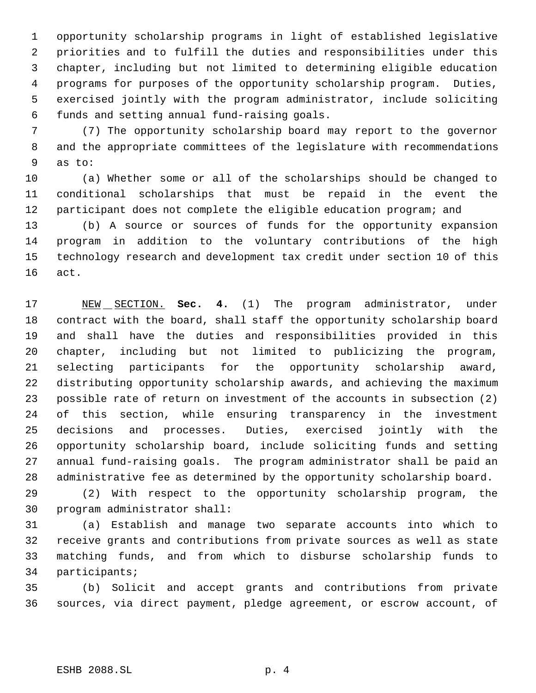opportunity scholarship programs in light of established legislative priorities and to fulfill the duties and responsibilities under this chapter, including but not limited to determining eligible education programs for purposes of the opportunity scholarship program. Duties, exercised jointly with the program administrator, include soliciting funds and setting annual fund-raising goals.

 (7) The opportunity scholarship board may report to the governor and the appropriate committees of the legislature with recommendations as to:

 (a) Whether some or all of the scholarships should be changed to conditional scholarships that must be repaid in the event the participant does not complete the eligible education program; and

 (b) A source or sources of funds for the opportunity expansion program in addition to the voluntary contributions of the high technology research and development tax credit under section 10 of this act.

 NEW SECTION. **Sec. 4.** (1) The program administrator, under contract with the board, shall staff the opportunity scholarship board and shall have the duties and responsibilities provided in this chapter, including but not limited to publicizing the program, selecting participants for the opportunity scholarship award, distributing opportunity scholarship awards, and achieving the maximum possible rate of return on investment of the accounts in subsection (2) of this section, while ensuring transparency in the investment decisions and processes. Duties, exercised jointly with the opportunity scholarship board, include soliciting funds and setting annual fund-raising goals. The program administrator shall be paid an administrative fee as determined by the opportunity scholarship board.

 (2) With respect to the opportunity scholarship program, the program administrator shall:

 (a) Establish and manage two separate accounts into which to receive grants and contributions from private sources as well as state matching funds, and from which to disburse scholarship funds to participants;

 (b) Solicit and accept grants and contributions from private sources, via direct payment, pledge agreement, or escrow account, of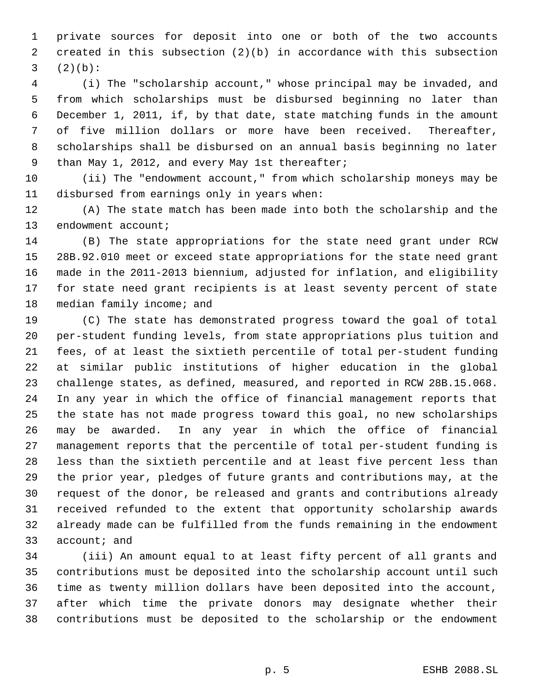private sources for deposit into one or both of the two accounts created in this subsection (2)(b) in accordance with this subsection  $(2)(b)$ :

 (i) The "scholarship account," whose principal may be invaded, and from which scholarships must be disbursed beginning no later than December 1, 2011, if, by that date, state matching funds in the amount of five million dollars or more have been received. Thereafter, scholarships shall be disbursed on an annual basis beginning no later than May 1, 2012, and every May 1st thereafter;

 (ii) The "endowment account," from which scholarship moneys may be disbursed from earnings only in years when:

 (A) The state match has been made into both the scholarship and the 13 endowment account;

 (B) The state appropriations for the state need grant under RCW 28B.92.010 meet or exceed state appropriations for the state need grant made in the 2011-2013 biennium, adjusted for inflation, and eligibility for state need grant recipients is at least seventy percent of state 18 median family income; and

 (C) The state has demonstrated progress toward the goal of total per-student funding levels, from state appropriations plus tuition and fees, of at least the sixtieth percentile of total per-student funding at similar public institutions of higher education in the global challenge states, as defined, measured, and reported in RCW 28B.15.068. In any year in which the office of financial management reports that the state has not made progress toward this goal, no new scholarships may be awarded. In any year in which the office of financial management reports that the percentile of total per-student funding is less than the sixtieth percentile and at least five percent less than the prior year, pledges of future grants and contributions may, at the request of the donor, be released and grants and contributions already received refunded to the extent that opportunity scholarship awards already made can be fulfilled from the funds remaining in the endowment account; and

 (iii) An amount equal to at least fifty percent of all grants and contributions must be deposited into the scholarship account until such time as twenty million dollars have been deposited into the account, after which time the private donors may designate whether their contributions must be deposited to the scholarship or the endowment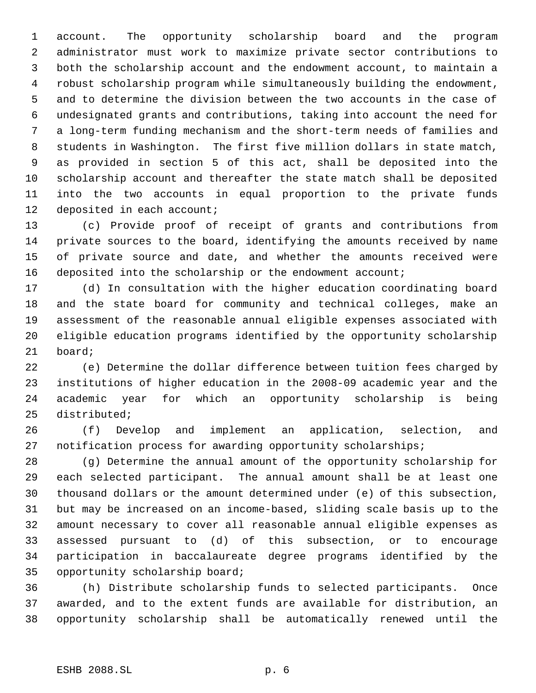account. The opportunity scholarship board and the program administrator must work to maximize private sector contributions to both the scholarship account and the endowment account, to maintain a robust scholarship program while simultaneously building the endowment, and to determine the division between the two accounts in the case of undesignated grants and contributions, taking into account the need for a long-term funding mechanism and the short-term needs of families and students in Washington. The first five million dollars in state match, as provided in section 5 of this act, shall be deposited into the scholarship account and thereafter the state match shall be deposited into the two accounts in equal proportion to the private funds 12 deposited in each account;

 (c) Provide proof of receipt of grants and contributions from private sources to the board, identifying the amounts received by name of private source and date, and whether the amounts received were deposited into the scholarship or the endowment account;

 (d) In consultation with the higher education coordinating board and the state board for community and technical colleges, make an assessment of the reasonable annual eligible expenses associated with eligible education programs identified by the opportunity scholarship board;

 (e) Determine the dollar difference between tuition fees charged by institutions of higher education in the 2008-09 academic year and the academic year for which an opportunity scholarship is being distributed;

 (f) Develop and implement an application, selection, and notification process for awarding opportunity scholarships;

 (g) Determine the annual amount of the opportunity scholarship for each selected participant. The annual amount shall be at least one thousand dollars or the amount determined under (e) of this subsection, but may be increased on an income-based, sliding scale basis up to the amount necessary to cover all reasonable annual eligible expenses as assessed pursuant to (d) of this subsection, or to encourage participation in baccalaureate degree programs identified by the opportunity scholarship board;

 (h) Distribute scholarship funds to selected participants. Once awarded, and to the extent funds are available for distribution, an opportunity scholarship shall be automatically renewed until the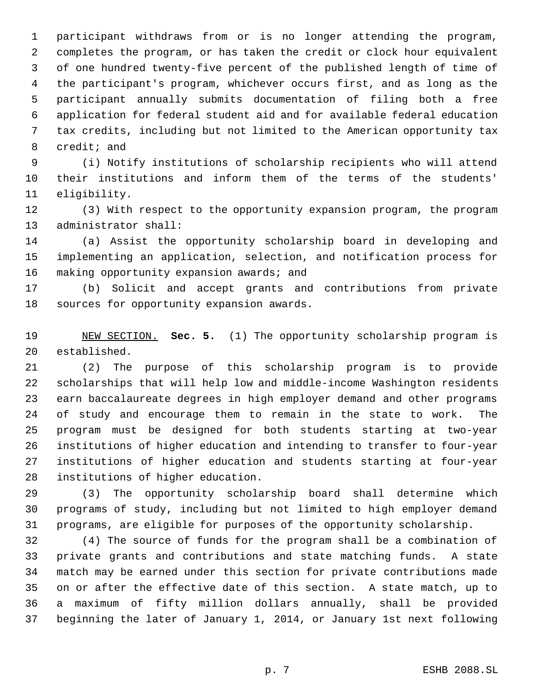participant withdraws from or is no longer attending the program, completes the program, or has taken the credit or clock hour equivalent of one hundred twenty-five percent of the published length of time of the participant's program, whichever occurs first, and as long as the participant annually submits documentation of filing both a free application for federal student aid and for available federal education tax credits, including but not limited to the American opportunity tax credit; and

 (i) Notify institutions of scholarship recipients who will attend their institutions and inform them of the terms of the students' eligibility.

 (3) With respect to the opportunity expansion program, the program administrator shall:

 (a) Assist the opportunity scholarship board in developing and implementing an application, selection, and notification process for 16 making opportunity expansion awards; and

 (b) Solicit and accept grants and contributions from private sources for opportunity expansion awards.

 NEW SECTION. **Sec. 5.** (1) The opportunity scholarship program is established.

 (2) The purpose of this scholarship program is to provide scholarships that will help low and middle-income Washington residents earn baccalaureate degrees in high employer demand and other programs of study and encourage them to remain in the state to work. The program must be designed for both students starting at two-year institutions of higher education and intending to transfer to four-year institutions of higher education and students starting at four-year institutions of higher education.

 (3) The opportunity scholarship board shall determine which programs of study, including but not limited to high employer demand programs, are eligible for purposes of the opportunity scholarship.

 (4) The source of funds for the program shall be a combination of private grants and contributions and state matching funds. A state match may be earned under this section for private contributions made on or after the effective date of this section. A state match, up to a maximum of fifty million dollars annually, shall be provided beginning the later of January 1, 2014, or January 1st next following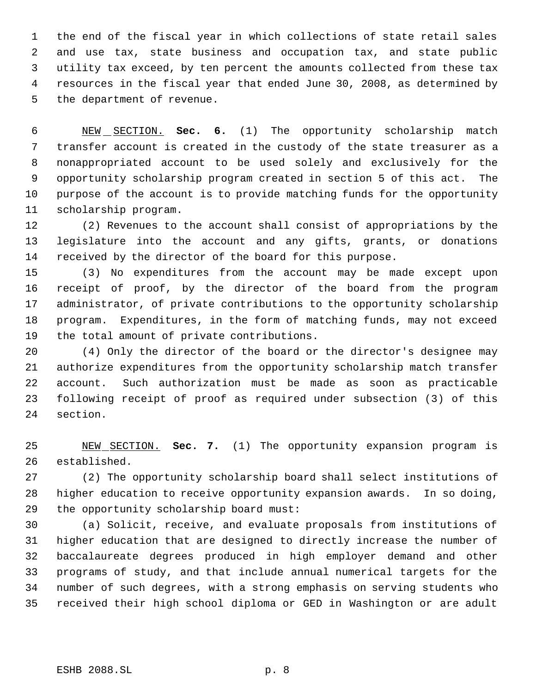the end of the fiscal year in which collections of state retail sales and use tax, state business and occupation tax, and state public utility tax exceed, by ten percent the amounts collected from these tax resources in the fiscal year that ended June 30, 2008, as determined by the department of revenue.

 NEW SECTION. **Sec. 6.** (1) The opportunity scholarship match transfer account is created in the custody of the state treasurer as a nonappropriated account to be used solely and exclusively for the opportunity scholarship program created in section 5 of this act. The purpose of the account is to provide matching funds for the opportunity scholarship program.

 (2) Revenues to the account shall consist of appropriations by the legislature into the account and any gifts, grants, or donations received by the director of the board for this purpose.

 (3) No expenditures from the account may be made except upon receipt of proof, by the director of the board from the program administrator, of private contributions to the opportunity scholarship program. Expenditures, in the form of matching funds, may not exceed the total amount of private contributions.

 (4) Only the director of the board or the director's designee may authorize expenditures from the opportunity scholarship match transfer account. Such authorization must be made as soon as practicable following receipt of proof as required under subsection (3) of this section.

 NEW SECTION. **Sec. 7.** (1) The opportunity expansion program is established.

 (2) The opportunity scholarship board shall select institutions of higher education to receive opportunity expansion awards. In so doing, the opportunity scholarship board must:

 (a) Solicit, receive, and evaluate proposals from institutions of higher education that are designed to directly increase the number of baccalaureate degrees produced in high employer demand and other programs of study, and that include annual numerical targets for the number of such degrees, with a strong emphasis on serving students who received their high school diploma or GED in Washington or are adult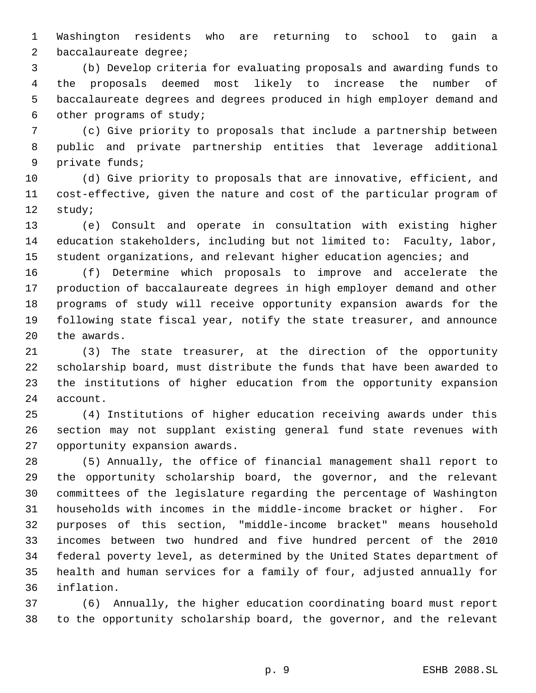Washington residents who are returning to school to gain a baccalaureate degree;

 (b) Develop criteria for evaluating proposals and awarding funds to the proposals deemed most likely to increase the number of baccalaureate degrees and degrees produced in high employer demand and other programs of study;

 (c) Give priority to proposals that include a partnership between public and private partnership entities that leverage additional private funds;

 (d) Give priority to proposals that are innovative, efficient, and cost-effective, given the nature and cost of the particular program of study;

 (e) Consult and operate in consultation with existing higher education stakeholders, including but not limited to: Faculty, labor, 15 student organizations, and relevant higher education agencies; and

 (f) Determine which proposals to improve and accelerate the production of baccalaureate degrees in high employer demand and other programs of study will receive opportunity expansion awards for the following state fiscal year, notify the state treasurer, and announce the awards.

 (3) The state treasurer, at the direction of the opportunity scholarship board, must distribute the funds that have been awarded to the institutions of higher education from the opportunity expansion account.

 (4) Institutions of higher education receiving awards under this section may not supplant existing general fund state revenues with opportunity expansion awards.

 (5) Annually, the office of financial management shall report to the opportunity scholarship board, the governor, and the relevant committees of the legislature regarding the percentage of Washington households with incomes in the middle-income bracket or higher. For purposes of this section, "middle-income bracket" means household incomes between two hundred and five hundred percent of the 2010 federal poverty level, as determined by the United States department of health and human services for a family of four, adjusted annually for inflation.

 (6) Annually, the higher education coordinating board must report to the opportunity scholarship board, the governor, and the relevant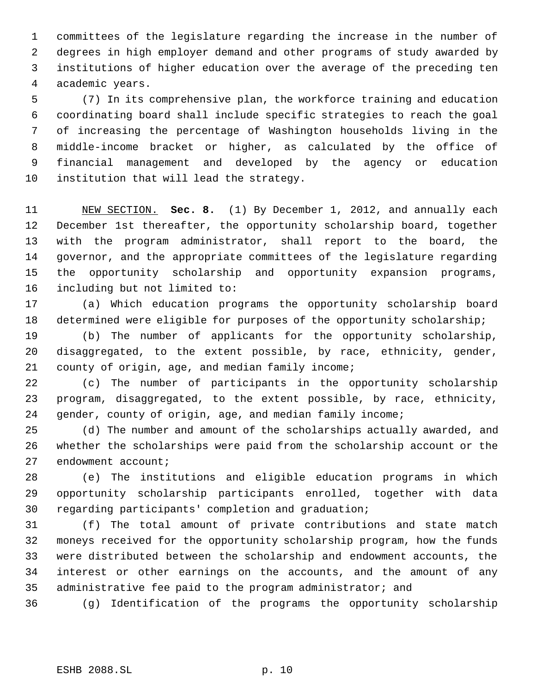committees of the legislature regarding the increase in the number of degrees in high employer demand and other programs of study awarded by institutions of higher education over the average of the preceding ten academic years.

 (7) In its comprehensive plan, the workforce training and education coordinating board shall include specific strategies to reach the goal of increasing the percentage of Washington households living in the middle-income bracket or higher, as calculated by the office of financial management and developed by the agency or education institution that will lead the strategy.

 NEW SECTION. **Sec. 8.** (1) By December 1, 2012, and annually each December 1st thereafter, the opportunity scholarship board, together with the program administrator, shall report to the board, the governor, and the appropriate committees of the legislature regarding the opportunity scholarship and opportunity expansion programs, including but not limited to:

 (a) Which education programs the opportunity scholarship board 18 determined were eligible for purposes of the opportunity scholarship;

 (b) The number of applicants for the opportunity scholarship, disaggregated, to the extent possible, by race, ethnicity, gender, county of origin, age, and median family income;

 (c) The number of participants in the opportunity scholarship program, disaggregated, to the extent possible, by race, ethnicity, gender, county of origin, age, and median family income;

 (d) The number and amount of the scholarships actually awarded, and whether the scholarships were paid from the scholarship account or the endowment account;

 (e) The institutions and eligible education programs in which opportunity scholarship participants enrolled, together with data regarding participants' completion and graduation;

 (f) The total amount of private contributions and state match moneys received for the opportunity scholarship program, how the funds were distributed between the scholarship and endowment accounts, the interest or other earnings on the accounts, and the amount of any administrative fee paid to the program administrator; and

(g) Identification of the programs the opportunity scholarship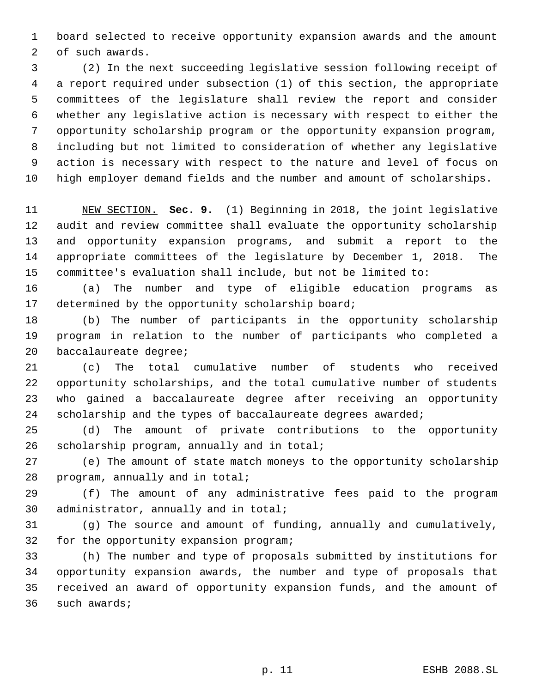board selected to receive opportunity expansion awards and the amount of such awards.

 (2) In the next succeeding legislative session following receipt of a report required under subsection (1) of this section, the appropriate committees of the legislature shall review the report and consider whether any legislative action is necessary with respect to either the opportunity scholarship program or the opportunity expansion program, including but not limited to consideration of whether any legislative action is necessary with respect to the nature and level of focus on high employer demand fields and the number and amount of scholarships.

 NEW SECTION. **Sec. 9.** (1) Beginning in 2018, the joint legislative audit and review committee shall evaluate the opportunity scholarship and opportunity expansion programs, and submit a report to the appropriate committees of the legislature by December 1, 2018. The committee's evaluation shall include, but not be limited to:

 (a) The number and type of eligible education programs as determined by the opportunity scholarship board;

 (b) The number of participants in the opportunity scholarship program in relation to the number of participants who completed a baccalaureate degree;

 (c) The total cumulative number of students who received opportunity scholarships, and the total cumulative number of students who gained a baccalaureate degree after receiving an opportunity 24 scholarship and the types of baccalaureate degrees awarded;

 (d) The amount of private contributions to the opportunity scholarship program, annually and in total;

 (e) The amount of state match moneys to the opportunity scholarship program, annually and in total;

 (f) The amount of any administrative fees paid to the program administrator, annually and in total;

 (g) The source and amount of funding, annually and cumulatively, for the opportunity expansion program;

 (h) The number and type of proposals submitted by institutions for opportunity expansion awards, the number and type of proposals that received an award of opportunity expansion funds, and the amount of such awards;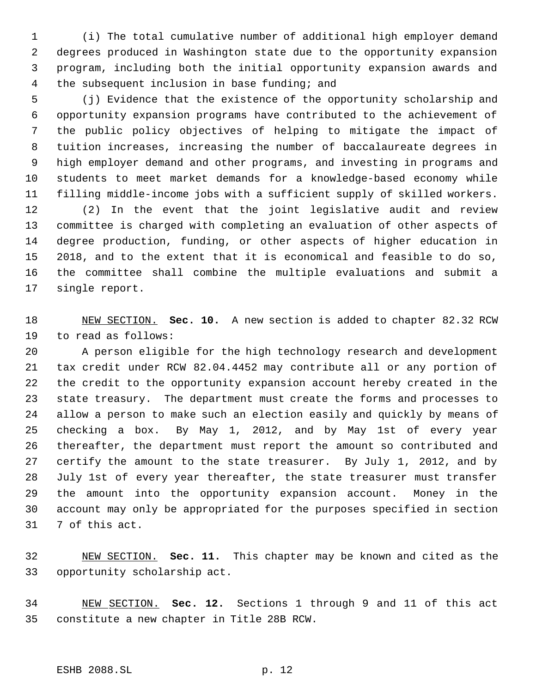(i) The total cumulative number of additional high employer demand degrees produced in Washington state due to the opportunity expansion program, including both the initial opportunity expansion awards and the subsequent inclusion in base funding; and

 (j) Evidence that the existence of the opportunity scholarship and opportunity expansion programs have contributed to the achievement of the public policy objectives of helping to mitigate the impact of tuition increases, increasing the number of baccalaureate degrees in high employer demand and other programs, and investing in programs and students to meet market demands for a knowledge-based economy while filling middle-income jobs with a sufficient supply of skilled workers.

 (2) In the event that the joint legislative audit and review committee is charged with completing an evaluation of other aspects of degree production, funding, or other aspects of higher education in 2018, and to the extent that it is economical and feasible to do so, the committee shall combine the multiple evaluations and submit a single report.

 NEW SECTION. **Sec. 10.** A new section is added to chapter 82.32 RCW to read as follows:

 A person eligible for the high technology research and development tax credit under RCW 82.04.4452 may contribute all or any portion of the credit to the opportunity expansion account hereby created in the state treasury. The department must create the forms and processes to allow a person to make such an election easily and quickly by means of checking a box. By May 1, 2012, and by May 1st of every year thereafter, the department must report the amount so contributed and certify the amount to the state treasurer. By July 1, 2012, and by July 1st of every year thereafter, the state treasurer must transfer the amount into the opportunity expansion account. Money in the account may only be appropriated for the purposes specified in section 7 of this act.

 NEW SECTION. **Sec. 11.** This chapter may be known and cited as the opportunity scholarship act.

 NEW SECTION. **Sec. 12.** Sections 1 through 9 and 11 of this act constitute a new chapter in Title 28B RCW.